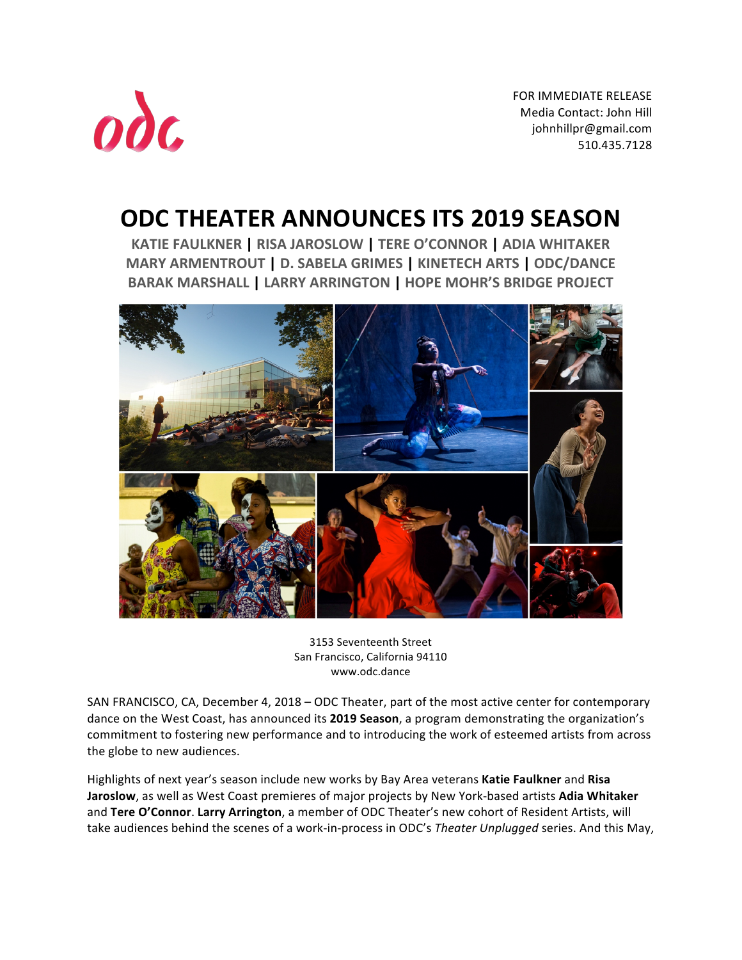

FOR IMMEDIATE RELEASE Media Contact: John Hill johnhillpr@gmail.com 510.435.7128 

# **ODC THEATER ANNOUNCES ITS 2019 SEASON**

**KATIE FAULKNER | RISA JAROSLOW | TERE O'CONNOR | ADIA WHITAKER MARY ARMENTROUT | D. SABELA GRIMES | KINETECH ARTS | ODC/DANCE BARAK MARSHALL | LARRY ARRINGTON | HOPE MOHR'S BRIDGE PROJECT**



3153 Seventeenth Street San Francisco, California 94110 www.odc.dance

SAN FRANCISCO, CA, December 4, 2018 – ODC Theater, part of the most active center for contemporary dance on the West Coast, has announced its 2019 Season, a program demonstrating the organization's commitment to fostering new performance and to introducing the work of esteemed artists from across the globe to new audiences.

Highlights of next year's season include new works by Bay Area veterans Katie Faulkner and Risa **Jaroslow**, as well as West Coast premieres of major projects by New York-based artists Adia Whitaker and Tere O'Connor. Larry Arrington, a member of ODC Theater's new cohort of Resident Artists, will take audiences behind the scenes of a work-in-process in ODC's Theater *Unplugged* series. And this May,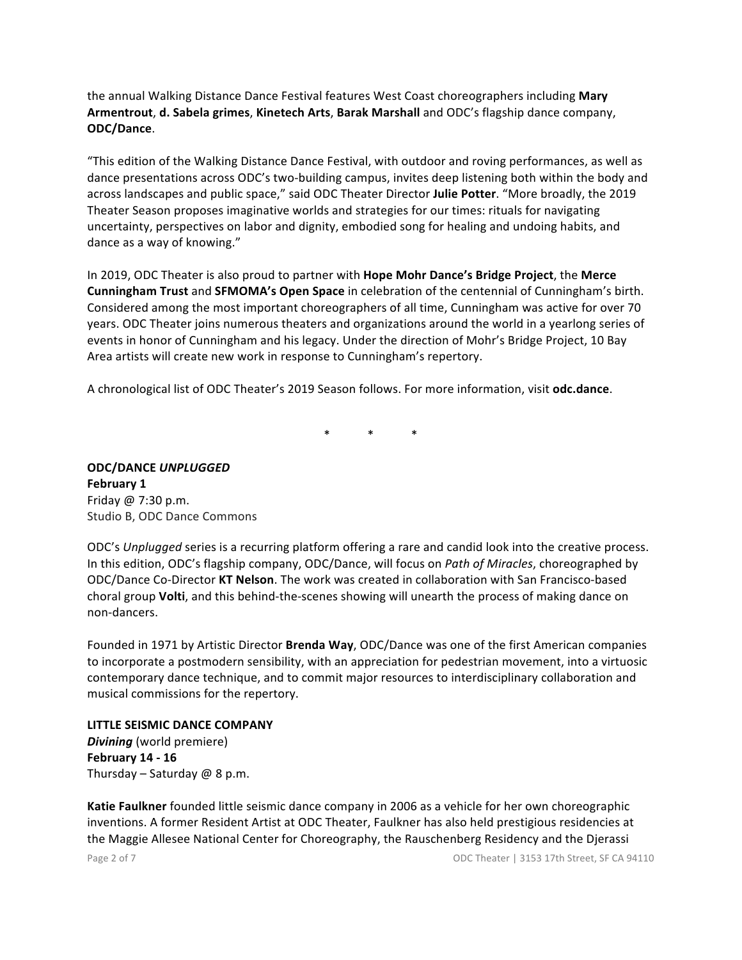the annual Walking Distance Dance Festival features West Coast choreographers including Mary Armentrout, d. Sabela grimes, Kinetech Arts, Barak Marshall and ODC's flagship dance company, **ODC/Dance**.

"This edition of the Walking Distance Dance Festival, with outdoor and roving performances, as well as dance presentations across ODC's two-building campus, invites deep listening both within the body and across landscapes and public space," said ODC Theater Director Julie Potter. "More broadly, the 2019 Theater Season proposes imaginative worlds and strategies for our times: rituals for navigating uncertainty, perspectives on labor and dignity, embodied song for healing and undoing habits, and dance as a way of knowing."

In 2019, ODC Theater is also proud to partner with **Hope Mohr Dance's Bridge Project**, the Merce **Cunningham Trust** and **SFMOMA's Open Space** in celebration of the centennial of Cunningham's birth. Considered among the most important choreographers of all time, Cunningham was active for over 70 years. ODC Theater joins numerous theaters and organizations around the world in a yearlong series of events in honor of Cunningham and his legacy. Under the direction of Mohr's Bridge Project, 10 Bay Area artists will create new work in response to Cunningham's repertory.

A chronological list of ODC Theater's 2019 Season follows. For more information, visit **odc.dance**.

 $*$   $*$   $*$   $*$ 

**ODC/DANCE** *UNPLUGGED* **February 1** Friday @ 7:30 p.m. Studio B, ODC Dance Commons

ODC's *Unplugged* series is a recurring platform offering a rare and candid look into the creative process. In this edition, ODC's flagship company, ODC/Dance, will focus on *Path of Miracles*, choreographed by ODC/Dance Co-Director KT Nelson. The work was created in collaboration with San Francisco-based choral group Volti, and this behind-the-scenes showing will unearth the process of making dance on non-dancers.

Founded in 1971 by Artistic Director **Brenda Way**, ODC/Dance was one of the first American companies to incorporate a postmodern sensibility, with an appreciation for pedestrian movement, into a virtuosic contemporary dance technique, and to commit major resources to interdisciplinary collaboration and musical commissions for the repertory.

**LITTLE SEISMIC DANCE COMPANY** *Divining* (world premiere) **February 14 - 16** Thursday – Saturday  $@$  8 p.m.

Katie Faulkner founded little seismic dance company in 2006 as a vehicle for her own choreographic inventions. A former Resident Artist at ODC Theater, Faulkner has also held prestigious residencies at the Maggie Allesee National Center for Choreography, the Rauschenberg Residency and the Djerassi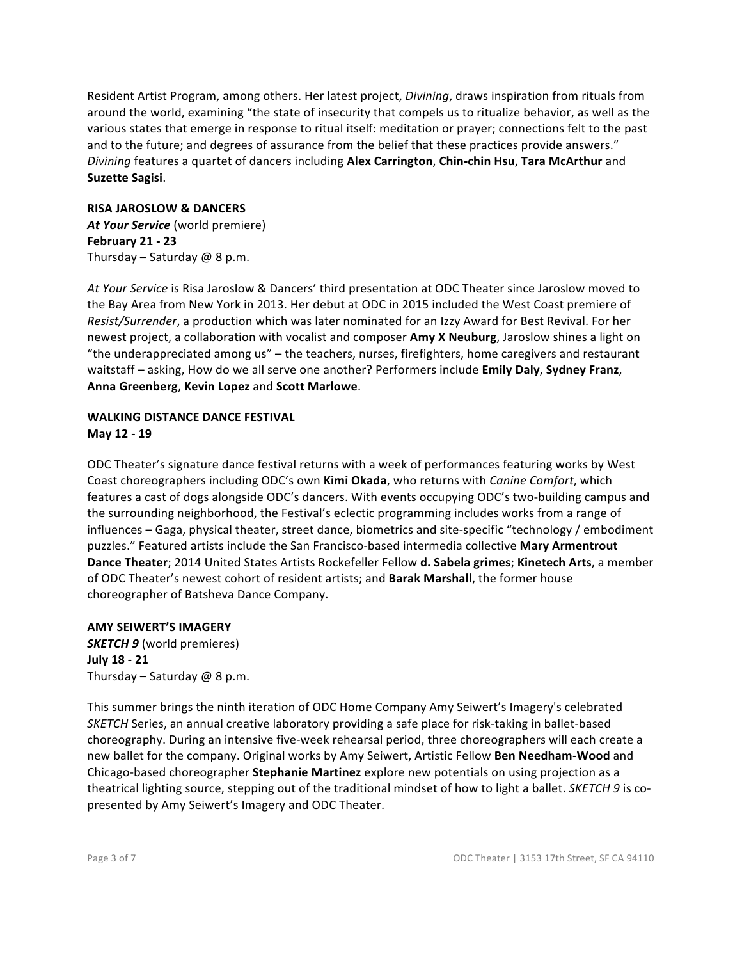Resident Artist Program, among others. Her latest project, *Divining*, draws inspiration from rituals from around the world, examining "the state of insecurity that compels us to ritualize behavior, as well as the various states that emerge in response to ritual itself: meditation or prayer; connections felt to the past and to the future; and degrees of assurance from the belief that these practices provide answers." *Divining* features a quartet of dancers including **Alex Carrington**, **Chin-chin Hsu**, **Tara McArthur** and **Suzette Sagisi**.

#### **RISA JAROSLOW & DANCERS**

At Your Service (world premiere) **February 21 - 23** Thursday – Saturday  $@$  8 p.m.

At Your Service is Risa Jaroslow & Dancers' third presentation at ODC Theater since Jaroslow moved to the Bay Area from New York in 2013. Her debut at ODC in 2015 included the West Coast premiere of *Resist/Surrender*, a production which was later nominated for an Izzy Award for Best Revival. For her newest project, a collaboration with vocalist and composer **Amy X Neuburg**, Jaroslow shines a light on "the underappreciated among us" – the teachers, nurses, firefighters, home caregivers and restaurant waitstaff – asking, How do we all serve one another? Performers include **Emily Daly, Sydney Franz**, **Anna Greenberg**, **Kevin Lopez** and **Scott Marlowe**.

#### **WALKING DISTANCE DANCE FESTIVAL May 12 - 19**

ODC Theater's signature dance festival returns with a week of performances featuring works by West Coast choreographers including ODC's own **Kimi Okada**, who returns with *Canine Comfort*, which features a cast of dogs alongside ODC's dancers. With events occupying ODC's two-building campus and the surrounding neighborhood, the Festival's eclectic programming includes works from a range of influences – Gaga, physical theater, street dance, biometrics and site-specific "technology / embodiment puzzles." Featured artists include the San Francisco-based intermedia collective Mary Armentrout **Dance Theater**; 2014 United States Artists Rockefeller Fellow **d. Sabela grimes**; **Kinetech Arts**, a member of ODC Theater's newest cohort of resident artists; and **Barak Marshall**, the former house choreographer of Batsheva Dance Company.

**AMY SEIWERT'S IMAGERY SKETCH 9** (world premieres) **July 18 - 21** Thursday – Saturday  $@$  8 p.m.

This summer brings the ninth iteration of ODC Home Company Amy Seiwert's Imagery's celebrated *SKETCH* Series, an annual creative laboratory providing a safe place for risk-taking in ballet-based choreography. During an intensive five-week rehearsal period, three choreographers will each create a new ballet for the company. Original works by Amy Seiwert, Artistic Fellow Ben Needham-Wood and Chicago-based choreographer **Stephanie Martinez** explore new potentials on using projection as a theatrical lighting source, stepping out of the traditional mindset of how to light a ballet. *SKETCH* 9 is copresented by Amy Seiwert's Imagery and ODC Theater.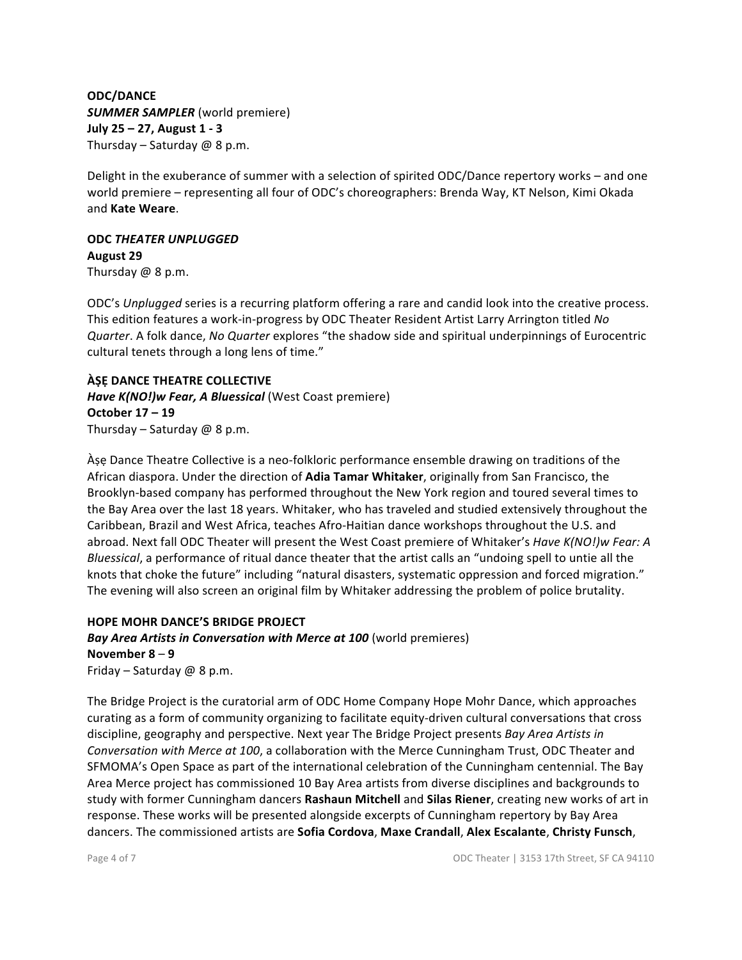### **ODC/DANCE SUMMER SAMPLER** (world premiere) **July 25 – 27, August 1 - 3** Thursday – Saturday  $@$  8 p.m.

Delight in the exuberance of summer with a selection of spirited ODC/Dance repertory works – and one world premiere – representing all four of ODC's choreographers: Brenda Way, KT Nelson, Kimi Okada and **Kate Weare**.

#### **ODC** *THEATER UNPLUGGED*

**August 29** Thursday  $@$  8 p.m.

ODC's *Unplugged* series is a recurring platform offering a rare and candid look into the creative process. This edition features a work-in-progress by ODC Theater Resident Artist Larry Arrington titled *No Quarter*. A folk dance, *No Quarter* explores "the shadow side and spiritual underpinnings of Eurocentric cultural tenets through a long lens of time."

#### **ÀṢẸ DANCE THEATRE COLLECTIVE**

*Have K(NO!)w Fear, A Bluessical* (West Coast premiere) **October 17 – 19** Thursday – Saturday  $@$  8 p.m.

Ase Dance Theatre Collective is a neo-folkloric performance ensemble drawing on traditions of the African diaspora. Under the direction of **Adia Tamar Whitaker**, originally from San Francisco, the Brooklyn-based company has performed throughout the New York region and toured several times to the Bay Area over the last 18 years. Whitaker, who has traveled and studied extensively throughout the Caribbean, Brazil and West Africa, teaches Afro-Haitian dance workshops throughout the U.S. and abroad. Next fall ODC Theater will present the West Coast premiere of Whitaker's *Have K(NO!)w Fear: A Bluessical*, a performance of ritual dance theater that the artist calls an "undoing spell to untie all the knots that choke the future" including "natural disasters, systematic oppression and forced migration." The evening will also screen an original film by Whitaker addressing the problem of police brutality.

### **HOPE MOHR DANCE'S BRIDGE PROJECT**

**Bay Area Artists in Conversation with Merce at 100** (world premieres) **November 8** – **9** Friday – Saturday  $@$  8 p.m.

The Bridge Project is the curatorial arm of ODC Home Company Hope Mohr Dance, which approaches curating as a form of community organizing to facilitate equity-driven cultural conversations that cross discipline, geography and perspective. Next year The Bridge Project presents *Bay Area Artists in Conversation with Merce at 100, a collaboration with the Merce Cunningham Trust, ODC Theater and* SFMOMA's Open Space as part of the international celebration of the Cunningham centennial. The Bay Area Merce project has commissioned 10 Bay Area artists from diverse disciplines and backgrounds to study with former Cunningham dancers Rashaun Mitchell and Silas Riener, creating new works of art in response. These works will be presented alongside excerpts of Cunningham repertory by Bay Area dancers. The commissioned artists are **Sofia Cordova**, **Maxe Crandall**, **Alex Escalante**, **Christy Funsch**,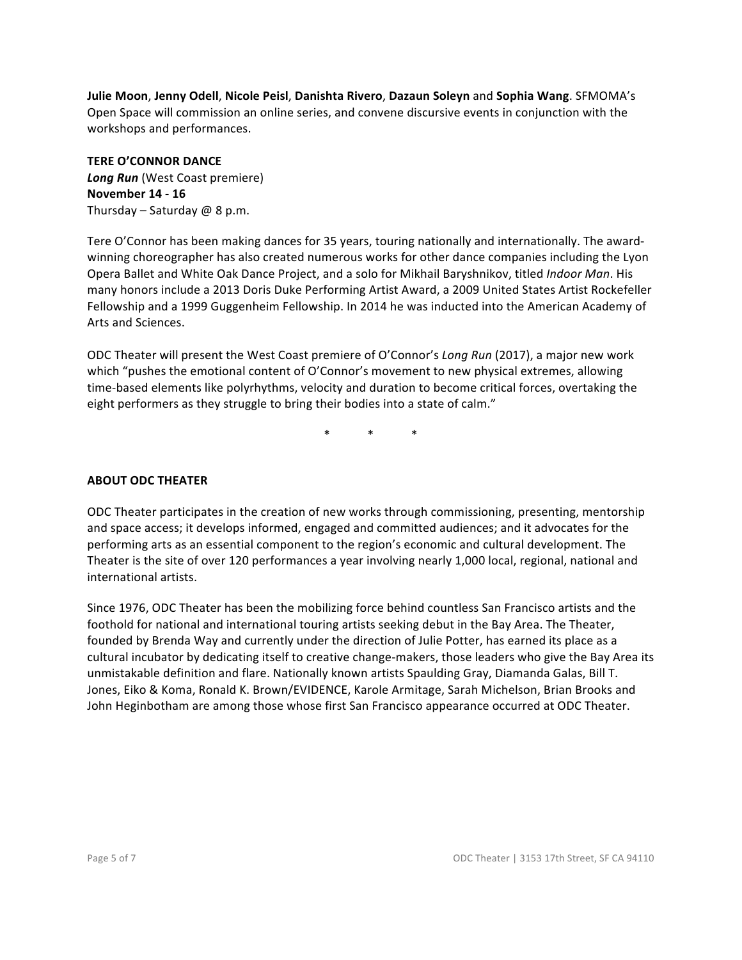**Julie Moon**, **Jenny Odell**, **Nicole Peisl**, **Danishta Rivero**, **Dazaun Soleyn** and **Sophia Wang**. SFMOMA's Open Space will commission an online series, and convene discursive events in conjunction with the workshops and performances.

**TERE O'CONNOR DANCE** *Long Run* (West Coast premiere) **November 14 - 16** Thursday – Saturday  $@$  8 p.m.

Tere O'Connor has been making dances for 35 years, touring nationally and internationally. The awardwinning choreographer has also created numerous works for other dance companies including the Lyon Opera Ballet and White Oak Dance Project, and a solo for Mikhail Baryshnikov, titled *Indoor Man*. His many honors include a 2013 Doris Duke Performing Artist Award, a 2009 United States Artist Rockefeller Fellowship and a 1999 Guggenheim Fellowship. In 2014 he was inducted into the American Academy of Arts and Sciences.

ODC Theater will present the West Coast premiere of O'Connor's Long Run (2017), a major new work which "pushes the emotional content of O'Connor's movement to new physical extremes, allowing time-based elements like polyrhythms, velocity and duration to become critical forces, overtaking the eight performers as they struggle to bring their bodies into a state of calm."

 $*$   $*$   $*$   $*$ 

### **ABOUT ODC THEATER**

ODC Theater participates in the creation of new works through commissioning, presenting, mentorship and space access; it develops informed, engaged and committed audiences; and it advocates for the performing arts as an essential component to the region's economic and cultural development. The Theater is the site of over 120 performances a year involving nearly 1,000 local, regional, national and international artists.

Since 1976, ODC Theater has been the mobilizing force behind countless San Francisco artists and the foothold for national and international touring artists seeking debut in the Bay Area. The Theater, founded by Brenda Way and currently under the direction of Julie Potter, has earned its place as a cultural incubator by dedicating itself to creative change-makers, those leaders who give the Bay Area its unmistakable definition and flare. Nationally known artists Spaulding Gray, Diamanda Galas, Bill T. Jones, Eiko & Koma, Ronald K. Brown/EVIDENCE, Karole Armitage, Sarah Michelson, Brian Brooks and John Heginbotham are among those whose first San Francisco appearance occurred at ODC Theater.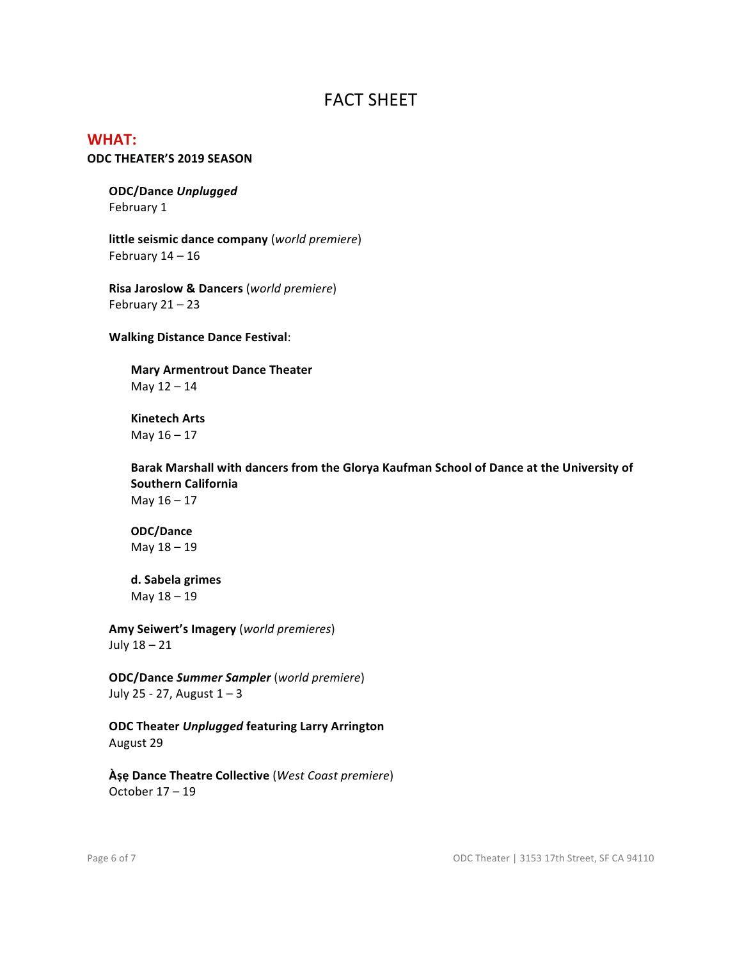# FACT SHEET

## **WHAT:**

#### **ODC THEATER'S 2019 SEASON**

**ODC/Dance** *Unplugged* February 1

**little seismic dance company** (*world premiere*) February  $14 - 16$ 

**Risa Jaroslow & Dancers** (*world premiere*) February  $21 - 23$ 

**Walking Distance Dance Festival**:

**Mary Armentrout Dance Theater** May  $12 - 14$ 

**Kinetech Arts** May  $16 - 17$ 

Barak Marshall with dancers from the Glorya Kaufman School of Dance at the University of **Southern California** May  $16 - 17$ 

**ODC/Dance** May 18 – 19

**d. Sabela grimes** May  $18 - 19$ 

**Amy Seiwert's Imagery** (*world premieres*) July  $18 - 21$ 

**ODC/Dance** *Summer Sampler* (*world premiere*) July 25 - 27, August  $1 - 3$ 

**ODC Theater** *Unplugged* **featuring Larry Arrington** August 29

**Àṣẹ Dance Theatre Collective** (*West Coast premiere*) October  $17 - 19$